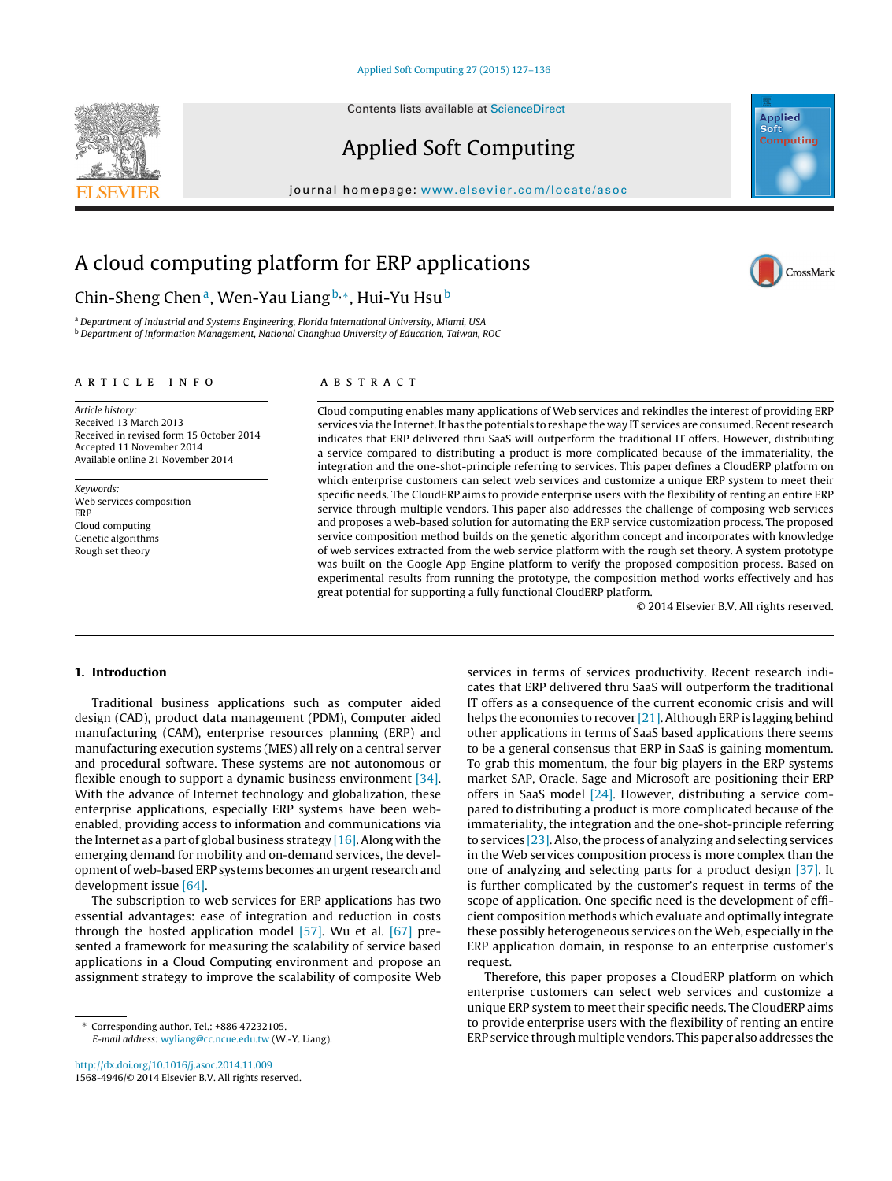Contents lists available at [ScienceDirect](http://www.sciencedirect.com/science/journal/15684946)







CrossMark

journal homepage: <www.elsevier.com/locate/asoc>

## A cloud computing platform for ERP applications

### Chin-Sheng Chen<sup>a</sup>, Wen-Yau Liang<sup>b,∗</sup>, Hui-Yu Hsu<sup>b</sup>

a Department of Industrial and Systems Engineering, Florida International University, Miami, USA <sup>b</sup> Department of Information Management, National Changhua University of Education, Taiwan, ROC

#### a r t i c l e i n f o

Article history: Received 13 March 2013 Received in revised form 15 October 2014 Accepted 11 November 2014 Available online 21 November 2014

Keywords: Web services composition ERP Cloud computing Genetic algorithms Rough set theory

#### A B S T R A C T

Cloud computing enables many applications of Web services and rekindles the interest of providing ERP services via the Internet. It has the potentials to reshape the way IT services are consumed. Recent research indicates that ERP delivered thru SaaS will outperform the traditional IT offers. However, distributing a service compared to distributing a product is more complicated because of the immateriality, the integration and the one-shot-principle referring to services. This paper defines a CloudERP platform on which enterprise customers can select web services and customize a unique ERP system to meet their specific needs. The CloudERP aims to provide enterprise users with the flexibility of renting an entire ERP service through multiple vendors. This paper also addresses the challenge of composing web services and proposes a web-based solution for automating the ERP service customization process. The proposed service composition method builds on the genetic algorithm concept and incorporates with knowledge of web services extracted from the web service platform with the rough set theory. A system prototype was built on the Google App Engine platform to verify the proposed composition process. Based on experimental results from running the prototype, the composition method works effectively and has great potential for supporting a fully functional CloudERP platform.

© 2014 Elsevier B.V. All rights reserved.

#### **1. Introduction**

Traditional business applications such as computer aided design (CAD), product data management (PDM), Computer aided manufacturing (CAM), enterprise resources planning (ERP) and manufacturing execution systems (MES) all rely on a central server and procedural software. These systems are not autonomous or flexible enough to support a dynamic business environment [\[34\].](#page--1-0) With the advance of Internet technology and globalization, these enterprise applications, especially ERP systems have been webenabled, providing access to information and communications via the Internet as a part of global business strategy  $[16]$ . Along with the emerging demand for mobility and on-demand services, the development of web-based ERP systems becomes an urgent research and development issue [\[64\].](#page--1-0)

The subscription to web services for ERP applications has two essential advantages: ease of integration and reduction in costs through the hosted application model [\[57\].](#page--1-0) Wu et al. [\[67\]](#page--1-0) presented a framework for measuring the scalability of service based applications in a Cloud Computing environment and propose an assignment strategy to improve the scalability of composite Web

[http://dx.doi.org/10.1016/j.asoc.2014.11.009](dx.doi.org/10.1016/j.asoc.2014.11.009) 1568-4946/© 2014 Elsevier B.V. All rights reserved. services in terms of services productivity. Recent research indicates that ERP delivered thru SaaS will outperform the traditional IT offers as a consequence of the current economic crisis and will helps the economies to recover [\[21\].A](#page--1-0)lthough ERP is lagging behind other applications in terms of SaaS based applications there seems to be a general consensus that ERP in SaaS is gaining momentum. To grab this momentum, the four big players in the ERP systems market SAP, Oracle, Sage and Microsoft are positioning their ERP offers in SaaS model [\[24\].](#page--1-0) However, distributing a service compared to distributing a product is more complicated because of the immateriality, the integration and the one-shot-principle referring to services  $[23]$ . Also, the process of analyzing and selecting services in the Web services composition process is more complex than the one of analyzing and selecting parts for a product design [\[37\].](#page--1-0) It is further complicated by the customer's request in terms of the scope of application. One specific need is the development of efficient composition methods which evaluate and optimally integrate these possibly heterogeneous services on the Web, especially in the ERP application domain, in response to an enterprise customer's request.

Therefore, this paper proposes a CloudERP platform on which enterprise customers can select web services and customize a unique ERP system to meet their specific needs. The CloudERP aims to provide enterprise users with the flexibility of renting an entire ERP service through multiple vendors. This paper also addresses the

<sup>∗</sup> Corresponding author. Tel.: +886 47232105. E-mail address: [wyliang@cc.ncue.edu.tw](mailto:wyliang@cc.ncue.edu.tw) (W.-Y. Liang).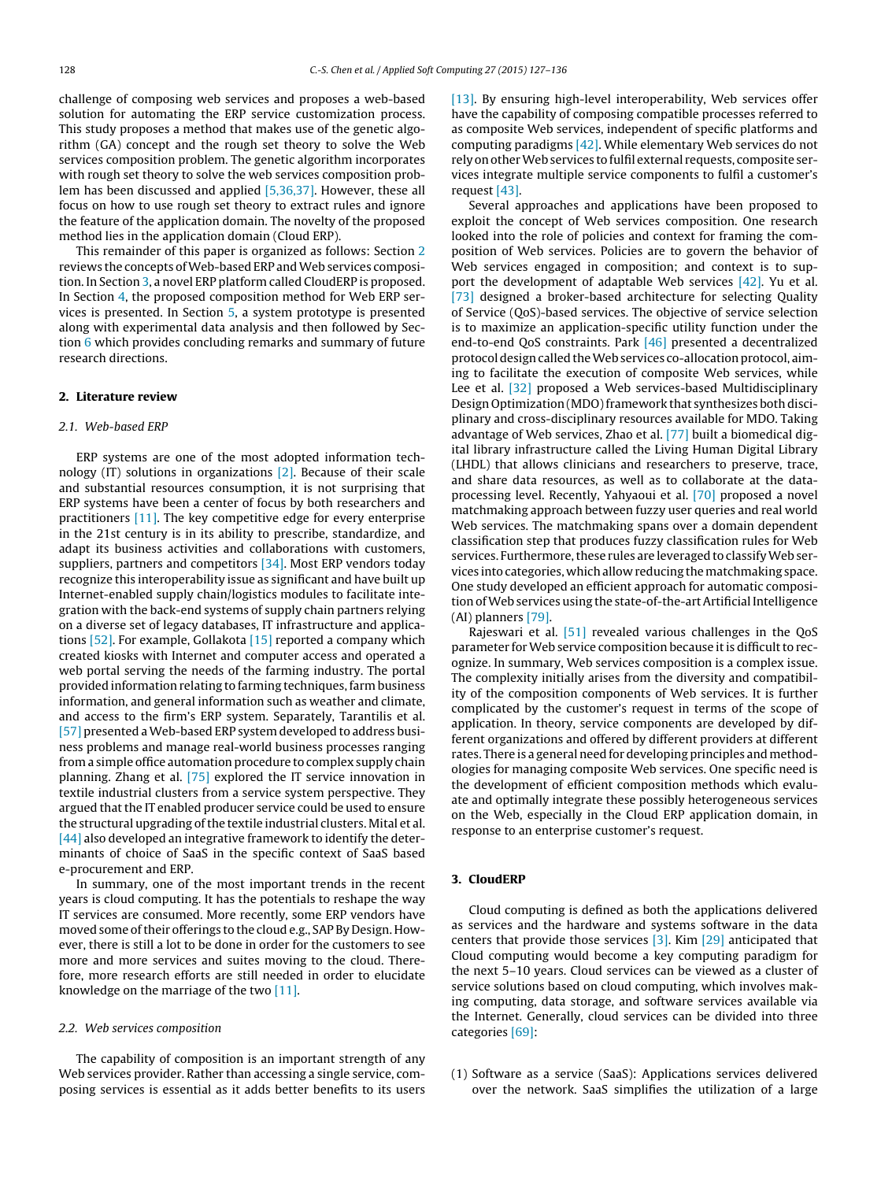challenge of composing web services and proposes a web-based solution for automating the ERP service customization process. This study proposes a method that makes use of the genetic algorithm (GA) concept and the rough set theory to solve the Web services composition problem. The genetic algorithm incorporates with rough set theory to solve the web services composition problem has been discussed and applied [\[5,36,37\].](#page--1-0) However, these all focus on how to use rough set theory to extract rules and ignore the feature of the application domain. The novelty of the proposed method lies in the application domain (Cloud ERP).

This remainder of this paper is organized as follows: Section 2 reviews the concepts of Web-based ERP and Web services composition. In Section 3, a novel ERP platform called CloudERP is proposed. In Section [4,](#page--1-0) the proposed composition method for Web ERP services is presented. In Section [5,](#page--1-0) a system prototype is presented along with experimental data analysis and then followed by Section [6](#page--1-0) which provides concluding remarks and summary of future research directions.

#### **2. Literature review**

#### 2.1. Web-based ERP

ERP systems are one of the most adopted information technology (IT) solutions in organizations [\[2\].](#page--1-0) Because of their scale and substantial resources consumption, it is not surprising that ERP systems have been a center of focus by both researchers and practitioners [\[11\].](#page--1-0) The key competitive edge for every enterprise in the 21st century is in its ability to prescribe, standardize, and adapt its business activities and collaborations with customers, suppliers, partners and competitors [\[34\].](#page--1-0) Most ERP vendors today recognize this interoperability issue as significant and have built up Internet-enabled supply chain/logistics modules to facilitate integration with the back-end systems of supply chain partners relying on a diverse set of legacy databases, IT infrastructure and applications [\[52\].](#page--1-0) For example, Gollakota [\[15\]](#page--1-0) reported a company which created kiosks with Internet and computer access and operated a web portal serving the needs of the farming industry. The portal provided information relating to farming techniques, farm business information, and general information such as weather and climate, and access to the firm's ERP system. Separately, Tarantilis et al. [\[57\]](#page--1-0) presented a Web-based ERP system developed to address business problems and manage real-world business processes ranging from a simple office automation procedure to complex supply chain planning. Zhang et al. [\[75\]](#page--1-0) explored the IT service innovation in textile industrial clusters from a service system perspective. They argued that the IT enabled producer service could be used to ensure the structural upgrading of the textile industrial clusters. Mital et al. [\[44\]](#page--1-0) also developed an integrative framework to identify the determinants of choice of SaaS in the specific context of SaaS based e-procurement and ERP.

In summary, one of the most important trends in the recent years is cloud computing. It has the potentials to reshape the way IT services are consumed. More recently, some ERP vendors have moved some of their offerings to the cloud e.g., SAP By Design. However, there is still a lot to be done in order for the customers to see more and more services and suites moving to the cloud. Therefore, more research efforts are still needed in order to elucidate knowledge on the marriage of the two [\[11\].](#page--1-0)

#### 2.2. Web services composition

The capability of composition is an important strength of any Web services provider. Rather than accessing a single service, composing services is essential as it adds better benefits to its users

[\[13\].](#page--1-0) By ensuring high-level interoperability, Web services offer have the capability of composing compatible processes referred to as composite Web services, independent of specific platforms and computing paradigms [\[42\].](#page--1-0) While elementary Web services do not rely on other Web services to fulfil external requests, composite services integrate multiple service components to fulfil a customer's request [\[43\].](#page--1-0)

Several approaches and applications have been proposed to exploit the concept of Web services composition. One research looked into the role of policies and context for framing the composition of Web services. Policies are to govern the behavior of Web services engaged in composition; and context is to sup-port the development of adaptable Web services [\[42\].](#page--1-0) Yu et al. [\[73\]](#page--1-0) designed a broker-based architecture for selecting Quality of Service (QoS)-based services. The objective of service selection is to maximize an application-specific utility function under the end-to-end QoS constraints. Park [\[46\]](#page--1-0) presented a decentralized protocol design called the Web services co-allocation protocol, aiming to facilitate the execution of composite Web services, while Lee et al. [\[32\]](#page--1-0) proposed a Web services-based Multidisciplinary Design Optimization (MDO) framework that synthesizes both disciplinary and cross-disciplinary resources available for MDO. Taking advantage of Web services, Zhao et al. [\[77\]](#page--1-0) built a biomedical digital library infrastructure called the Living Human Digital Library (LHDL) that allows clinicians and researchers to preserve, trace, and share data resources, as well as to collaborate at the dataprocessing level. Recently, Yahyaoui et al. [\[70\]](#page--1-0) proposed a novel matchmaking approach between fuzzy user queries and real world Web services. The matchmaking spans over a domain dependent classification step that produces fuzzy classification rules for Web services. Furthermore, these rules are leveraged to classify Web services into categories, whichallow reducing thematchmaking space. One study developed an efficient approach for automatic composition of Web services using the state-of-the-art Artificial Intelligence (AI) planners [\[79\].](#page--1-0)

Rajeswari et al. [\[51\]](#page--1-0) revealed various challenges in the QoS parameter for Web service composition because it is difficult to recognize. In summary, Web services composition is a complex issue. The complexity initially arises from the diversity and compatibility of the composition components of Web services. It is further complicated by the customer's request in terms of the scope of application. In theory, service components are developed by different organizations and offered by different providers at different rates. There is a general need for developing principles and methodologies for managing composite Web services. One specific need is the development of efficient composition methods which evaluate and optimally integrate these possibly heterogeneous services on the Web, especially in the Cloud ERP application domain, in response to an enterprise customer's request.

#### **3. CloudERP**

Cloud computing is defined as both the applications delivered as services and the hardware and systems software in the data centers that provide those services  $[3]$ . Kim  $[29]$  anticipated that Cloud computing would become a key computing paradigm for the next 5–10 years. Cloud services can be viewed as a cluster of service solutions based on cloud computing, which involves making computing, data storage, and software services available via the Internet. Generally, cloud services can be divided into three categories [\[69\]:](#page--1-0)

(1) Software as a service (SaaS): Applications services delivered over the network. SaaS simplifies the utilization of a large